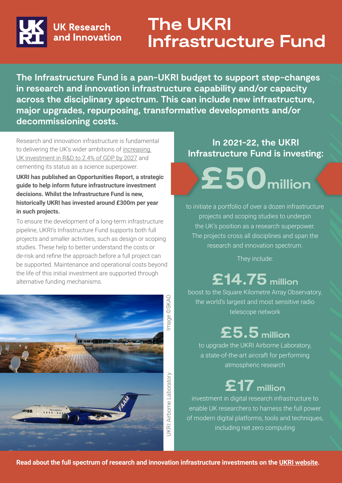

### **The UKRI Infrastructure Fund**

**The Infrastructure Fund is a pan-UKRI budget to support step-changes in research and innovation infrastructure capability and/or capacity across the disciplinary spectrum. This can include new infrastructure, major upgrades, repurposing, transformative developments and/or decommissioning costs.**

Research and innovation infrastructure is fundamental to delivering the UK's wider ambitions of [increasing](https://www.gov.uk/government/news/record-boost-to-rd-and-new-transport-fund-to-help-build-economy-fit-for-the-future)  [UK investment in R&D to 2.4% of GDP by 2027](https://www.gov.uk/government/news/record-boost-to-rd-and-new-transport-fund-to-help-build-economy-fit-for-the-future) and cementing its status as a science superpower.

**UKRI has published an Opportunities Report, a strategic guide to help inform future infrastructure investment decisions. Whilst the Infrastructure Fund is new, historically UKRI has invested around £300m per year in such projects.**

To ensure the development of a long-term infrastructure pipeline, UKRI's Infrastructure Fund supports both full projects and smaller activities, such as design or scoping studies. These help to better understand the costs or de-risk and refine the approach before a full project can be supported. Maintenance and operational costs beyond the life of this initial investment are supported through alternative funding mechanisms.



#### **In 2021-22, the UKRI Infrastructure Fund is investing:**

**£50million**

to initiate a portfolio of over a dozen infrastructure projects and scoping studies to underpin the UK's position as a research superpower. The projects cross all disciplines and span the research and innovation spectrum.

They include:

# **£14.75 million**

boost to the Square Kilometre Array Observatory, the world's largest and most sensitive radio telescope network

### **£5.5 million**

to upgrade the UKRI Airborne Laboratory, a state-of-the-art aircraft for performing atmospheric research

### **£17 million**

investment in digital research infrastructure to enable UK researchers to harness the full power of modern digital platforms, tools and techniques, including net zero computing